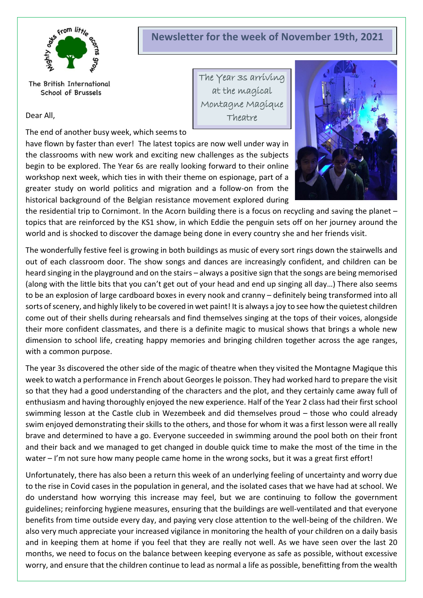

# **Newsletter for the week of November 19th, 2021**

The Year 3s arriving at the magical Montagne Magique Theatre

The British International School of Brussels

Dear All,

The end of another busy week, which seems to

have flown by faster than ever! The latest topics are now well under way in the classrooms with new work and exciting new challenges as the subjects begin to be explored. The Year 6s are really looking forward to their online workshop next week, which ties in with their theme on espionage, part of a greater study on world politics and migration and a follow-on from the historical background of the Belgian resistance movement explored during



the residential trip to Cornimont. In the Acorn building there is a focus on recycling and saving the planet – topics that are reinforced by the KS1 show, in which Eddie the penguin sets off on her journey around the world and is shocked to discover the damage being done in every country she and her friends visit.

The wonderfully festive feel is growing in both buildings as music of every sort rings down the stairwells and out of each classroom door. The show songs and dances are increasingly confident, and children can be heard singing in the playground and on the stairs – always a positive sign that the songs are being memorised (along with the little bits that you can't get out of your head and end up singing all day…) There also seems to be an explosion of large cardboard boxes in every nook and cranny – definitely being transformed into all sorts of scenery, and highly likely to be covered in wet paint! It is always a joy to see how the quietest children come out of their shells during rehearsals and find themselves singing at the tops of their voices, alongside their more confident classmates, and there is a definite magic to musical shows that brings a whole new dimension to school life, creating happy memories and bringing children together across the age ranges, with a common purpose.

The year 3s discovered the other side of the magic of theatre when they visited the Montagne Magique this week to watch a performance in French about Georges le poisson. They had worked hard to prepare the visit so that they had a good understanding of the characters and the plot, and they certainly came away full of enthusiasm and having thoroughly enjoyed the new experience. Half of the Year 2 class had their first school swimming lesson at the Castle club in Wezembeek and did themselves proud – those who could already swim enjoyed demonstrating their skills to the others, and those for whom it was a first lesson were all really brave and determined to have a go. Everyone succeeded in swimming around the pool both on their front and their back and we managed to get changed in double quick time to make the most of the time in the water – I'm not sure how many people came home in the wrong socks, but it was a great first effort!

Unfortunately, there has also been a return this week of an underlying feeling of uncertainty and worry due to the rise in Covid cases in the population in general, and the isolated cases that we have had at school. We do understand how worrying this increase may feel, but we are continuing to follow the government guidelines; reinforcing hygiene measures, ensuring that the buildings are well-ventilated and that everyone benefits from time outside every day, and paying very close attention to the well-being of the children. We also very much appreciate your increased vigilance in monitoring the health of your children on a daily basis and in keeping them at home if you feel that they are really not well. As we have seen over the last 20 months, we need to focus on the balance between keeping everyone as safe as possible, without excessive worry, and ensure that the children continue to lead as normal a life as possible, benefitting from the wealth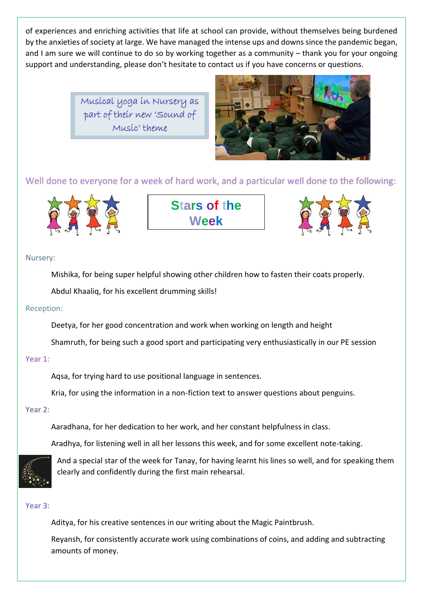of experiences and enriching activities that life at school can provide, without themselves being burdened by the anxieties of society at large. We have managed the intense ups and downs since the pandemic began, and I am sure we will continue to do so by working together as a community – thank you for your ongoing support and understanding, please don't hesitate to contact us if you have concerns or questions.

> Musical yoga in Nursery as part of their new 'Sound of Music' theme



Well done to everyone for a week of hard work, and a particular well done to the following:



**Stars of the Week**



# Nursery:

Mishika, for being super helpful showing other children how to fasten their coats properly.

Abdul Khaaliq, for his excellent drumming skills!

# Reception:

Deetya, for her good concentration and work when working on length and height

Shamruth, for being such a good sport and participating very enthusiastically in our PE session

## Year 1:

Aqsa, for trying hard to use positional language in sentences.

Kria, for using the information in a non-fiction text to answer questions about penguins.

# Year 2:

Aaradhana, for her dedication to her work, and her constant helpfulness in class.

Aradhya, for listening well in all her lessons this week, and for some excellent note-taking.



And a special star of the week for Tanay, for having learnt his lines so well, and for speaking them clearly and confidently during the first main rehearsal.

## Year 3:

Aditya, for his creative sentences in our writing about the Magic Paintbrush.

Reyansh, for consistently accurate work using combinations of coins, and adding and subtracting amounts of money.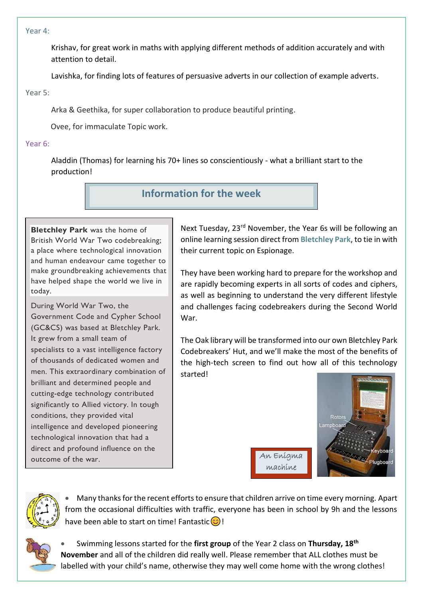#### Year 4:

Krishav, for great work in maths with applying different methods of addition accurately and with attention to detail.

Lavishka, for finding lots of features of persuasive adverts in our collection of example adverts.

### Year 5:

Arka & Geethika, for super collaboration to produce beautiful printing.

Ovee, for immaculate Topic work.

# Year 6:

Aladdin (Thomas) for learning his 70+ lines so conscientiously - what a brilliant start to the production!

# **Information for the week**

**Bletchley Park** was the home of British World War Two codebreaking; a place where technological innovation and human endeavour came together to make groundbreaking achievements that have helped shape the world we live in today.

During World War Two, the Government Code and Cypher School (GC&CS) was based at Bletchley Park. It grew from a small team of specialists to a vast intelligence factory of thousands of dedicated women and men. This extraordinary combination of brilliant and determined people and cutting-edge technology contributed significantly to Allied victory. In tough conditions, they provided vital intelligence and developed pioneering technological innovation that had a direct and profound influence on the outcome of the war.

Next Tuesday, 23<sup>rd</sup> November, the Year 6s will be following an online learning session direct from **Bletchley Park**, to tie in with their current topic on Espionage.

They have been working hard to prepare for the workshop and are rapidly becoming experts in all sorts of codes and ciphers, as well as beginning to understand the very different lifestyle and challenges facing codebreakers during the Second World War.

The Oak library will be transformed into our own Bletchley Park Codebreakers' Hut, and we'll make the most of the benefits of the high-tech screen to find out how all of this technology started!

machine



• Many thanks for the recent efforts to ensure that children arrive on time every morning. Apart from the occasional difficulties with traffic, everyone has been in school by 9h and the lessons have been able to start on time! Fantastic $\circled{c}$ !



• Swimming lessons started for the **first group** of the Year 2 class on **Thursday, 18th November** and all of the children did really well. Please remember that ALL clothes must be labelled with your child's name, otherwise they may well come home with the wrong clothes!